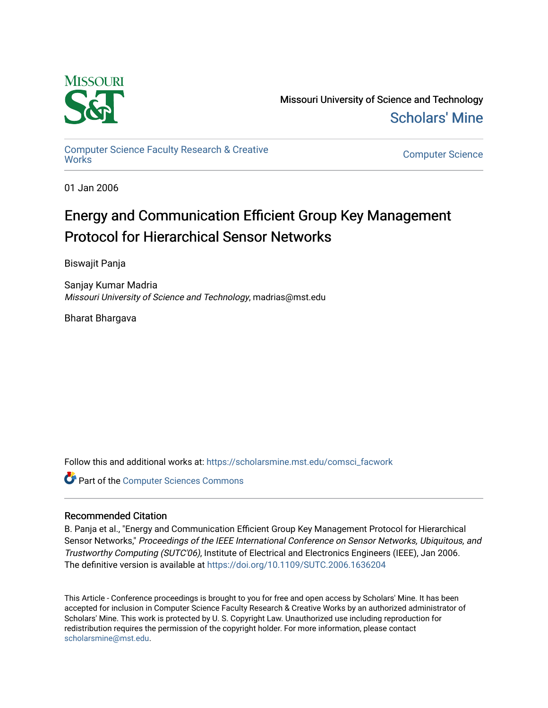

Missouri University of Science and Technology [Scholars' Mine](https://scholarsmine.mst.edu/) 

[Computer Science Faculty Research & Creative](https://scholarsmine.mst.edu/comsci_facwork) 

**Computer Science** 

01 Jan 2006

# Energy and Communication Efficient Group Key Management Protocol for Hierarchical Sensor Networks

Biswajit Panja

Sanjay Kumar Madria Missouri University of Science and Technology, madrias@mst.edu

Bharat Bhargava

Follow this and additional works at: [https://scholarsmine.mst.edu/comsci\\_facwork](https://scholarsmine.mst.edu/comsci_facwork?utm_source=scholarsmine.mst.edu%2Fcomsci_facwork%2F245&utm_medium=PDF&utm_campaign=PDFCoverPages) 

**Part of the [Computer Sciences Commons](http://network.bepress.com/hgg/discipline/142?utm_source=scholarsmine.mst.edu%2Fcomsci_facwork%2F245&utm_medium=PDF&utm_campaign=PDFCoverPages)** 

# Recommended Citation

B. Panja et al., "Energy and Communication Efficient Group Key Management Protocol for Hierarchical Sensor Networks," Proceedings of the IEEE International Conference on Sensor Networks, Ubiquitous, and Trustworthy Computing (SUTC'06), Institute of Electrical and Electronics Engineers (IEEE), Jan 2006. The definitive version is available at <https://doi.org/10.1109/SUTC.2006.1636204>

This Article - Conference proceedings is brought to you for free and open access by Scholars' Mine. It has been accepted for inclusion in Computer Science Faculty Research & Creative Works by an authorized administrator of Scholars' Mine. This work is protected by U. S. Copyright Law. Unauthorized use including reproduction for redistribution requires the permission of the copyright holder. For more information, please contact [scholarsmine@mst.edu.](mailto:scholarsmine@mst.edu)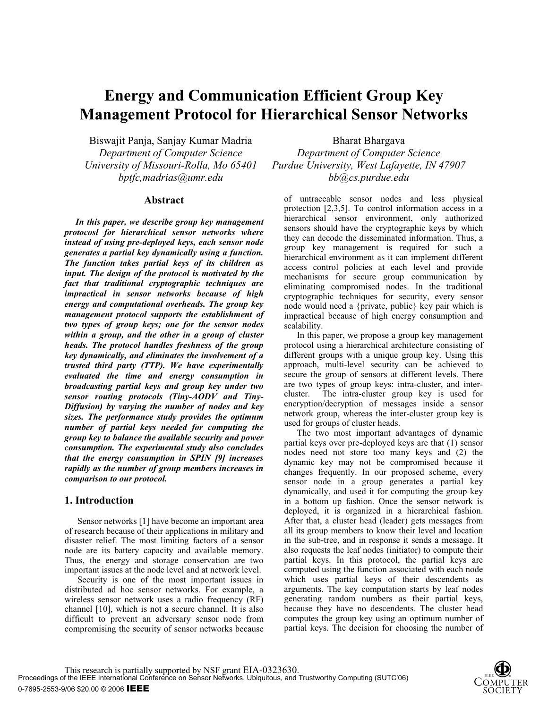# **Energy and Communication Efficient Group Key Management Protocol for Hierarchical Sensor Networks**

Biswajit Panja, Sanjay Kumar Madria Bharat Bhargava *Department of Computer Science University of Missouri-Rolla, Mo 65401 bptfc,madrias@umr.edu*

#### **Abstract**

*In this paper, we describe group key management protocosl for hierarchical sensor networks where instead of using pre-deployed keys, each sensor node generates a partial key dynamically using a function. The function takes partial keys of its children as input. The design of the protocol is motivated by the fact that traditional cryptographic techniques are impractical in sensor networks because of high energy and computational overheads. The group key management protocol supports the establishment of two types of group keys; one for the sensor nodes within a group, and the other in a group of cluster heads. The protocol handles freshness of the group key dynamically, and eliminates the involvement of a trusted third party (TTP). We have experimentally evaluated the time and energy consumption in broadcasting partial keys and group key under two sensor routing protocols (Tiny-AODV and Tiny-Diffusion) by varying the number of nodes and key sizes. The performance study provides the optimum number of partial keys needed for computing the group key to balance the available security and power consumption. The experimental study also concludes that the energy consumption in SPIN [9] increases rapidly as the number of group members increases in comparison to our protocol.* 

#### **1. Introduction**

Sensor networks [1] have become an important area of research because of their applications in military and disaster relief. The most limiting factors of a sensor node are its battery capacity and available memory. Thus, the energy and storage conservation are two important issues at the node level and at network level.

Security is one of the most important issues in distributed ad hoc sensor networks. For example, a wireless sensor network uses a radio frequency (RF) channel [10], which is not a secure channel. It is also difficult to prevent an adversary sensor node from compromising the security of sensor networks because

*Department of Computer Science Purdue University, West Lafayette, IN 47907 bb@cs.purdue.edu*

of untraceable sensor nodes and less physical protection [2,3,5]. To control information access in a hierarchical sensor environment, only authorized sensors should have the cryptographic keys by which they can decode the disseminated information. Thus, a group key management is required for such a hierarchical environment as it can implement different access control policies at each level and provide mechanisms for secure group communication by eliminating compromised nodes. In the traditional cryptographic techniques for security, every sensor node would need a {private, public} key pair which is impractical because of high energy consumption and scalability.

In this paper, we propose a group key management protocol using a hierarchical architecture consisting of different groups with a unique group key. Using this approach, multi-level security can be achieved to secure the group of sensors at different levels. There are two types of group keys: intra-cluster, and intercluster. The intra-cluster group key is used for encryption/decryption of messages inside a sensor network group, whereas the inter-cluster group key is used for groups of cluster heads.

The two most important advantages of dynamic partial keys over pre-deployed keys are that (1) sensor nodes need not store too many keys and (2) the dynamic key may not be compromised because it changes frequently. In our proposed scheme, every sensor node in a group generates a partial key dynamically, and used it for computing the group key in a bottom up fashion. Once the sensor network is deployed, it is organized in a hierarchical fashion. After that, a cluster head (leader) gets messages from all its group members to know their level and location in the sub-tree, and in response it sends a message. It also requests the leaf nodes (initiator) to compute their partial keys. In this protocol, the partial keys are computed using the function associated with each node which uses partial keys of their descendents as arguments. The key computation starts by leaf nodes generating random numbers as their partial keys, because they have no descendents. The cluster head computes the group key using an optimum number of partial keys. The decision for choosing the number of

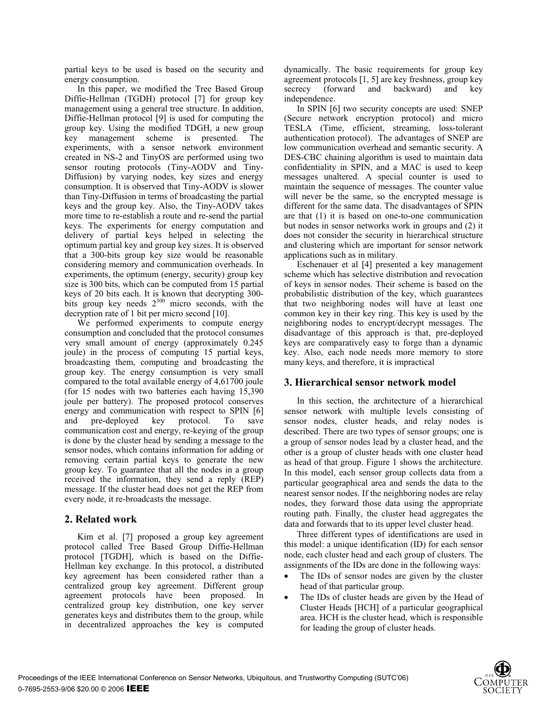partial keys to be used is based on the security and energy consumption.

In this paper, we modified the Tree Based Group Diffie-Hellman (TGDH) protocol [7] for group key management using a general tree structure. In addition, Diffie-Hellman protocol [9] is used for computing the group key. Using the modified TDGH, a new group key management scheme is presented. The experiments, with a sensor network environment created in NS-2 and TinyOS are performed using two sensor routing protocols (Tiny-AODV and Tiny-Diffusion) by varying nodes, key sizes and energy consumption. It is observed that Tiny-AODV is slower than Tiny-Diffusion in terms of broadcasting the partial keys and the group key. Also, the Tiny-AODV takes more time to re-establish a route and re-send the partial keys. The experiments for energy computation and delivery of partial keys helped in selecting the optimum partial key and group key sizes. It is observed that a 300-bits group key size would be reasonable considering memory and communication overheads. In experiments, the optimum (energy, security) group key size is 300 bits, which can be computed from 15 partial keys of 20 bits each. It is known that decrypting 300 bits group key needs  $2^{300}$  micro seconds, with the decryption rate of 1 bit per micro second [10].

We performed experiments to compute energy consumption and concluded that the protocol consumes very small amount of energy (approximately 0.245 joule) in the process of computing 15 partial keys, broadcasting them, computing and broadcasting the group key. The energy consumption is very small compared to the total available energy of 4,61700 joule (for 15 nodes with two batteries each having 15,390 joule per battery). The proposed protocol conserves energy and communication with respect to SPIN [6] and pre-deployed key protocol. To save communication cost and energy, re-keying of the group is done by the cluster head by sending a message to the sensor nodes, which contains information for adding or removing certain partial keys to generate the new group key. To guarantee that all the nodes in a group received the information, they send a reply (REP) message. If the cluster head does not get the REP from every node, it re-broadcasts the message.

# **2. Related work**

Kim et al. [7] proposed a group key agreement protocol called Tree Based Group Diffie-Hellman protocol [TGDH], which is based on the Diffie-Hellman key exchange. In this protocol, a distributed key agreement has been considered rather than a centralized group key agreement. Different group agreement protocols have been proposed. In centralized group key distribution, one key server generates keys and distributes them to the group, while in decentralized approaches the key is computed dynamically. The basic requirements for group key agreement protocols [1, 5] are key freshness, group key secrecy (forward and backward) and key independence.

In SPIN [6] two security concepts are used: SNEP (Secure network encryption protocol) and micro TESLA (Time, efficient, streaming, loss-tolerant authentication protocol). The advantages of SNEP are low communication overhead and semantic security. A DES-CBC chaining algorithm is used to maintain data confidentiality in SPIN, and a MAC is used to keep messages unaltered. A special counter is used to maintain the sequence of messages. The counter value will never be the same, so the encrypted message is different for the same data. The disadvantages of SPIN are that (1) it is based on one-to-one communication but nodes in sensor networks work in groups and (2) it does not consider the security in hierarchical structure and clustering which are important for sensor network applications such as in military.

Eschenauer et al [4] presented a key management scheme which has selective distribution and revocation of keys in sensor nodes. Their scheme is based on the probabilistic distribution of the key, which guarantees that two neighboring nodes will have at least one common key in their key ring. This key is used by the neighboring nodes to encrypt/decrypt messages. The disadvantage of this approach is that, pre-deployed keys are comparatively easy to forge than a dynamic key. Also, each node needs more memory to store many keys, and therefore, it is impractical

# **3. Hierarchical sensor network model**

In this section, the architecture of a hierarchical sensor network with multiple levels consisting of sensor nodes, cluster heads, and relay nodes is described. There are two types of sensor groups; one is a group of sensor nodes lead by a cluster head, and the other is a group of cluster heads with one cluster head as head of that group. Figure 1 shows the architecture. In this model, each sensor group collects data from a particular geographical area and sends the data to the nearest sensor nodes. If the neighboring nodes are relay nodes, they forward those data using the appropriate routing path. Finally, the cluster head aggregates the data and forwards that to its upper level cluster head.

Three different types of identifications are used in this model: a unique identification (ID) for each sensor node, each cluster head and each group of clusters. The assignments of the IDs are done in the following ways:

- The IDs of sensor nodes are given by the cluster head of that particular group.
- The IDs of cluster heads are given by the Head of Cluster Heads [HCH] of a particular geographical area. HCH is the cluster head, which is responsible for leading the group of cluster heads.

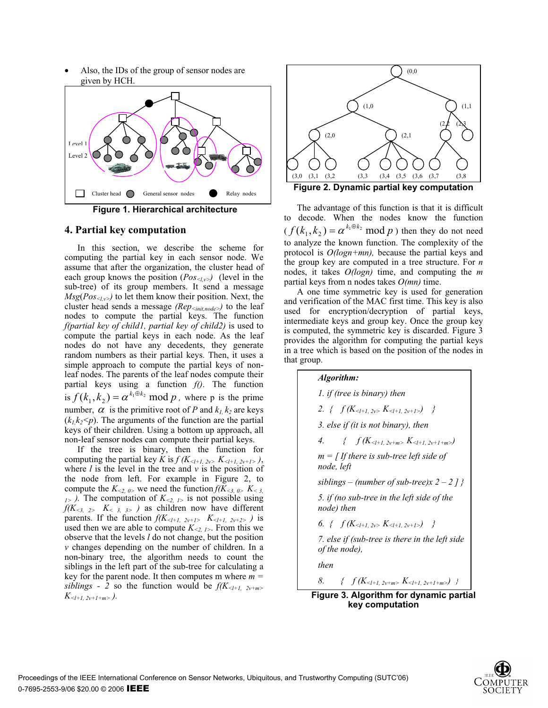Also, the IDs of the group of sensor nodes are given by HCH.



**Figure 1. Hierarchical architecture**

# **4. Partial key computation**

In this section, we describe the scheme for computing the partial key in each sensor node. We assume that after the organization, the cluster head of each group knows the position  $(Pos)$  (level in the sub-tree) of its group members. It send a message  $Msg(Pos/<sub>l</sub><sub>v></sub>)$  to let them know their position. Next, the cluster head sends a message *(Rep<sub><init,node*>) to the leaf</sub> nodes to compute the partial keys. The function *f(partial key of child1, partial key of child2)* is used to compute the partial keys in each node. As the leaf nodes do not have any decedents, they generate random numbers as their partial keys. Then, it uses a simple approach to compute the partial keys of nonleaf nodes. The parents of the leaf nodes compute their partial keys using a function *f()*. The function is  $f(k_1, k_2) = \alpha^{k_1 \oplus k_2} \mod p$ , where p is the prime number,  $\alpha$  is the primitive root of *P* and  $k_1$ ,  $k_2$  are keys  $(k_1, k_2 \leq p)$ . The arguments of the function are the partial keys of their children. Using a bottom up approach, all non-leaf sensor nodes can compute their partial keys.

If the tree is binary, then the function for computing the partial key *K* is  $f(K_{\le l+1, 2\nu>} K_{\le l+1, 2\nu+l>}$ , where  $l$  is the level in the tree and  $v$  is the position of the node from left. For example in Figure 2, to compute the  $K_{<2, 0>}$  we need the function  $f(K_{<3, 0}>K_{<3, 0})$ *1> ).* The computation of *K<2, 1>* is not possible using  $f(K_{\leq 3, 2} > K_{\leq 3, 3} > 1)$  as children now have different parents. If the function  $f(K_{\leq l+1, 2\nu+1>}$   $K_{\leq l+1, 2\nu+2>}$  is used then we are able to compute  $K_{\leq 2}$ ,  $\sum_{i=1}^{\infty}$ . From this we observe that the levels *l* do not change, but the position *v* changes depending on the number of children. In a non-binary tree, the algorithm needs to count the siblings in the left part of the sub-tree for calculating a key for the parent node. It then computes m where *m = siblings - 2* so the function would be  $f(K_{\leq l+1, 2\nu+m>}$  $K_{\leq l+1, 2\nu+1+m>}$ ).



The advantage of this function is that it is difficult to decode. When the nodes know the function  $(f(k_1, k_2) = \alpha^{k_1 \oplus k_2} \text{ mod } p)$  then they do not need to analyze the known function. The complexity of the protocol is *O(logn+mn),* because the partial keys and the group key are computed in a tree structure. For *n* nodes, it takes *O(logn)* time, and computing the *m* partial keys from n nodes takes *O(mn)* time.

A one time symmetric key is used for generation and verification of the MAC first time. This key is also used for encryption/decryption of partial keys, intermediate keys and group key. Once the group key is computed, the symmetric key is discarded. Figure 3 provides the algorithm for computing the partial keys in a tree which is based on the position of the nodes in that group.

# *Algorithm: 1. if (tree is binary) then 2. { f (K<l+1, 2v> K<l+1, 2v+1>) } 3. else if (it is not binary), then 4. { f (K<l+1, 2v+m> K<l+1, 2v+1+m>) m = [ If there is sub-tree left side of node, left siblings – (number of sub-tree)x 2 – 2 ] } 5. if (no sub-tree in the left side of the node) then 6. { f (K<l+1, 2v> K<l+1, 2v+1>) } 7. else if (sub-tree is there in the left side of the node), then 8. { f (K<l+1, 2v+m> K<l+1, 2v+1+m>) }*

**Figure 3. Algorithm for dynamic partial key computation**

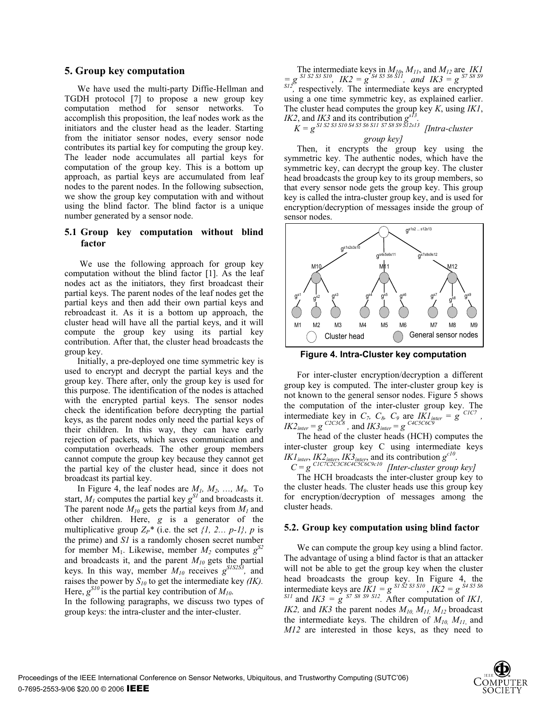# **5. Group key computation**

We have used the multi-party Diffie-Hellman and TGDH protocol [7] to propose a new group key computation method for sensor networks. To accomplish this proposition, the leaf nodes work as the initiators and the cluster head as the leader. Starting from the initiator sensor nodes, every sensor node contributes its partial key for computing the group key. The leader node accumulates all partial keys for computation of the group key. This is a bottom up approach, as partial keys are accumulated from leaf nodes to the parent nodes. In the following subsection, we show the group key computation with and without using the blind factor. The blind factor is a unique number generated by a sensor node.

# **5.1 Group key computation without blind factor**

 We use the following approach for group key computation without the blind factor [1]. As the leaf nodes act as the initiators, they first broadcast their partial keys. The parent nodes of the leaf nodes get the partial keys and then add their own partial keys and rebroadcast it. As it is a bottom up approach, the cluster head will have all the partial keys, and it will compute the group key using its partial key contribution. After that, the cluster head broadcasts the group key.

Initially, a pre-deployed one time symmetric key is used to encrypt and decrypt the partial keys and the group key. There after, only the group key is used for this purpose. The identification of the nodes is attached with the encrypted partial keys. The sensor nodes check the identification before decrypting the partial keys, as the parent nodes only need the partial keys of their children. In this way, they can have early rejection of packets, which saves communication and computation overheads. The other group members cannot compute the group key because they cannot get the partial key of the cluster head, since it does not broadcast its partial key.

In Figure 4, the leaf nodes are *M1, M2, …, M9*. To start,  $M_1$  computes the partial key  $g^{SI}$  and broadcasts it. The parent node  $M_{10}$  gets the partial keys from  $M_1$  and other children. Here, *g* is a generator of the multiplicative group  $Z_P^*$  (i.e. the set  $\{1, 2... p-1\}$ , p is the prime) and *S1* is a randomly chosen secret number for member  $M_1$ . Likewise, member  $M_2$  computes  $g^{S2}$ and broadcasts it, and the parent *M10* gets the partial keys. In this way, member *M10* receives *gS1S2S3,* and raises the power by  $S_{10}$  to get the intermediate key  $(IK)$ . Here,  $g^{S10}$  is the partial key contribution of  $M_{10}$ .

In the following paragraphs, we discuss two types of group keys: the intra-cluster and the inter-cluster.

The intermediate keys in *M10*, *M11*, and *M12* are *IK1*   $= g^{SI S2 S3 S10}$ ,  $IK2 = g^{SI S5 S6 S11}$ , and  $IK3 = g^{SI S8 S9}$ *s* respectively. The intermediate keys are encrypted using a one time symmetric key, as explained earlier. The cluster head computes the group key *K*, using *IK1*, *IK2*, and *IK3* and its contribution *gs13.*

# *K = g S1 S2 S3 S10 S4 S5 S6 S11 S7 S8 S9 S12s13 [Intra-cluster group key]*

Then, it encrypts the group key using the symmetric key. The authentic nodes, which have the symmetric key, can decrypt the group key. The cluster head broadcasts the group key to its group members, so that every sensor node gets the group key. This group key is called the intra-cluster group key, and is used for encryption/decryption of messages inside the group of sensor nodes.



**Figure 4. Intra-Cluster key computation** 

For inter-cluster encryption/decryption a different group key is computed. The inter-cluster group key is not known to the general sensor nodes. Figure 5 shows the computation of the inter-cluster group key. The intermediate key in  $C_7$ ,  $C_8$ ,  $C_9$  are  $IKI_{inter} = g^{CIC7}$ ,  $IK2_{inter} = g^{C2CSC8}$ , and  $IK3_{inter} = g^{C4CSC6C9}$ 

The head of the cluster heads (HCH) computes the inter-cluster group key C using intermediate keys *IK1inter*, *IK2inter*, *IK3inter*, and its contribution *gc10*.

*C* = *g C1C7C2C3C8C4C5C6C9c10 [Inter-cluster group key]* 

The HCH broadcasts the inter-cluster group key to the cluster heads. The cluster heads use this group key for encryption/decryption of messages among the cluster heads.

#### **5.2. Group key computation using blind factor**

We can compute the group key using a blind factor. The advantage of using a blind factor is that an attacker will not be able to get the group key when the cluster head broadcasts the group key. In Figure 4, the intermediate keys are  $IK1 = g^{SI \dot{S}2 \dot{S}3 \dot{S}10}$ ,  $IK2 = g^{S4 \dot{S}5 \dot{S}6}$  $^{S11}$  and  $IK3 = g^{S7 S8 S9 S12}$ . After computation of *IK1*, *IK2*, and *IK3* the parent nodes  $M_{10}$ ,  $M_{11}$ ,  $M_{12}$  broadcast the intermediate keys. The children of  $M_{10}$ ,  $M_{11}$ , and *M12* are interested in those keys, as they need to

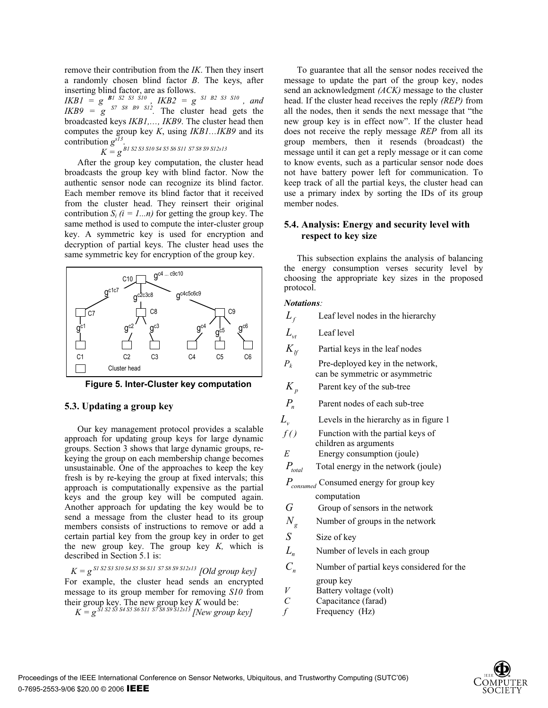remove their contribution from the *IK*. Then they insert a randomly chosen blind factor *B*. The keys, after inserting blind factor, are as follows.

*IKB1* =  $g^{BI \, S2 \, S3 \, S10}$ , *IKB2* =  $g^{SI \, B2 \, S3 \, S10}$ , and  $IKB9 = g^{STSSB} B9 S12$ . The cluster head gets the broadcasted keys *IKB1,…, IKB9*. The cluster head then computes the group key *K*, using *IKB1…IKB9* and its contribution *gs13*.

*K = g B1 S2 S3 S10 S4 S5 S6 S11 S7 S8 S9 S12s13* 

After the group key computation, the cluster head broadcasts the group key with blind factor. Now the authentic sensor node can recognize its blind factor. Each member remove its blind factor that it received from the cluster head. They reinsert their original contribution  $S_i$  ( $i = 1...n$ ) for getting the group key. The same method is used to compute the inter-cluster group key. A symmetric key is used for encryption and decryption of partial keys. The cluster head uses the same symmetric key for encryption of the group key.



**Figure 5. Inter-Cluster key computation**

### **5.3. Updating a group key**

Our key management protocol provides a scalable approach for updating group keys for large dynamic groups. Section 3 shows that large dynamic groups, rekeying the group on each membership change becomes unsustainable. One of the approaches to keep the key fresh is by re-keying the group at fixed intervals; this approach is computationally expensive as the partial keys and the group key will be computed again. Another approach for updating the key would be to send a message from the cluster head to its group members consists of instructions to remove or add a certain partial key from the group key in order to get the new group key. The group key *K,* which is described in Section 5.1 is:

*K = g S1 S2 S3 S10 S4 S5 S6 S11 S7 S8 S9 S12s13 [Old group key]*  For example, the cluster head sends an encrypted message to its group member for removing *S10* from their group key. The new group key *K* would be:

$$
K = g^{51 52 53 54 55 56 511 57 58 59 512 s13}
$$
 [New group key]

To guarantee that all the sensor nodes received the message to update the part of the group key, nodes send an acknowledgment *(ACK)* message to the cluster head. If the cluster head receives the reply *(REP)* from all the nodes, then it sends the next message that "the new group key is in effect now". If the cluster head does not receive the reply message *REP* from all its group members, then it resends (broadcast) the message until it can get a reply message or it can come to know events, such as a particular sensor node does not have battery power left for communication. To keep track of all the partial keys, the cluster head can use a primary index by sorting the IDs of its group member nodes.

# **5.4. Analysis: Energy and security level with respect to key size**

This subsection explains the analysis of balancing the energy consumption verses security level by choosing the appropriate key sizes in the proposed protocol.

#### *Notations:*

 $L_f$  Leaf level nodes in the hierarchy

- $L_{vt}$  Leaf level
- $K<sub>H</sub>$  Partial keys in the leaf nodes
- $P_k$  Pre-deployed key in the network, can be symmetric or asymmetric
- *K p* Parent key of the sub-tree
- *P<sub>n</sub>* Parent nodes of each sub-tree
- $L<sub>v</sub>$  Levels in the hierarchy as in figure 1
- *f ( )* Function with the partial keys of children as arguments<br> $E$  Energy consumption
	- Energy consumption (joule)
- *P<sub>total</sub>* Total energy in the network (joule)
- *Pconsumed* Consumed energy for group key computation
- *G* Group of sensors in the network
- $N_a$  Number of groups in the network
- *S* Size of key
- $L_n$  Number of levels in each group
- $C_n$  Number of partial keys considered for the group key
- *V* Battery voltage (volt)
- *C* Capacitance (farad)
- *f* Frequency (Hz)



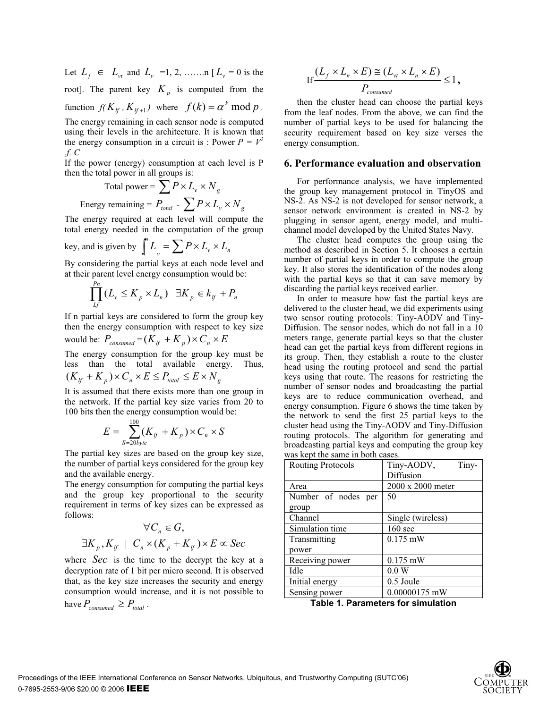Let  $L_f \in L_{vt}$  and  $L_v = 1, 2, \dots, n$  [ $L_v = 0$  is the root]. The parent key  $K_p$  is computed from the function  $f(K_{if}, K_{if+1})$  where  $f(k) = \alpha^k \text{ mod } p$ . The energy remaining in each sensor node is computed using their levels in the architecture. It is known that the energy consumption in a circuit is : Power  $P = V^2$ *.f. C*

If the power (energy) consumption at each level is P then the total power in all groups is:

Total power = 
$$
\sum P \times L_v \times N_g
$$
  
Energy remaining =  $P_{total}$  -  $\sum P \times L_v \times N_g$ 

The energy required at each level will compute the total energy needed in the computation of the group

key, and is given by 
$$
\int_{0}^{n} L_{v} = \sum P \times L_{v} \times L_{n}
$$

By considering the partial keys at each node level and at their parent level energy consumption would be:

$$
\prod_{Lf}^{Pn} (L_v \le K_p \times L_n) \quad \exists K_p \in k_{lf} + P_n
$$

If n partial keys are considered to form the group key then the energy consumption with respect to key size would be:  $P_{consumed} = (K_H + K_p) \times C_n \times E$ 

The energy consumption for the group key must be less than the total available energy. Thus,  $(K_{if} + K_p) \times C_n \times E \leq P_{total} \leq E \times N_g$ 

It is assumed that there exists more than one group in the network. If the partial key size varies from 20 to 100 bits then the energy consumption would be:

$$
E = \sum_{S=20 byte}^{100} (K_{if} + K_p) \times C_n \times S
$$

The partial key sizes are based on the group key size, the number of partial keys considered for the group key and the available energy.

The energy consumption for computing the partial keys and the group key proportional to the security requirement in terms of key sizes can be expressed as follows:

$$
\forall C_n \in G,
$$
  

$$
\exists K_p, K_{if} \mid C_n \times (K_p + K_{if}) \times E \propto Sec
$$

where *Sec* is the time to the decrypt the key at a decryption rate of 1 bit per micro second. It is observed that, as the key size increases the security and energy consumption would increase, and it is not possible to have  $P_{\text{consumed}} \geq P_{\text{total}}$ .

If 
$$
\frac{(L_f \times L_n \times E) \cong (L_{vt} \times L_n \times E)}{P_{consumed}} \leq 1,
$$

then the cluster head can choose the partial keys from the leaf nodes. From the above, we can find the number of partial keys to be used for balancing the security requirement based on key size verses the energy consumption.

### **6. Performance evaluation and observation**

For performance analysis, we have implemented the group key management protocol in TinyOS and NS-2. As NS-2 is not developed for sensor network, a sensor network environment is created in NS-2 by plugging in sensor agent, energy model, and multichannel model developed by the United States Navy.

The cluster head computes the group using the method as described in Section 5. It chooses a certain number of partial keys in order to compute the group key. It also stores the identification of the nodes along with the partial keys so that it can save memory by discarding the partial keys received earlier.

In order to measure how fast the partial keys are delivered to the cluster head, we did experiments using two sensor routing protocols: Tiny-AODV and Tiny-Diffusion. The sensor nodes, which do not fall in a 10 meters range, generate partial keys so that the cluster head can get the partial keys from different regions in its group. Then, they establish a route to the cluster head using the routing protocol and send the partial keys using that route. The reasons for restricting the number of sensor nodes and broadcasting the partial keys are to reduce communication overhead, and energy consumption. Figure 6 shows the time taken by the network to send the first 25 partial keys to the cluster head using the Tiny-AODV and Tiny-Diffusion routing protocols. The algorithm for generating and broadcasting partial keys and computing the group key was kept the same in both cases.

| <b>Routing Protocols</b> | Tiny-AODV,<br>Tiny-      |
|--------------------------|--------------------------|
|                          | Diffusion                |
| Area                     | $2000 \times 2000$ meter |
| Number of nodes per      | 50                       |
| group                    |                          |
| Channel                  | Single (wireless)        |
| Simulation time          | $160 \text{ sec}$        |
| Transmitting             | $0.175$ mW               |
| power                    |                          |
| Receiving power          | $0.175$ mW               |
| Idle                     | 0.0 W                    |
| Initial energy           | 0.5 Joule                |
| Sensing power            | 0.00000175 mW            |

**Table 1. Parameters for simulation** 

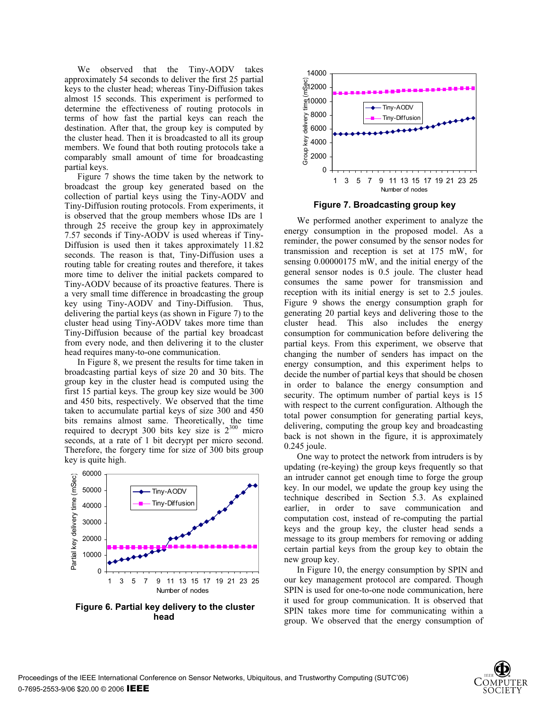We observed that the Tiny-AODV takes approximately 54 seconds to deliver the first 25 partial keys to the cluster head; whereas Tiny-Diffusion takes almost 15 seconds. This experiment is performed to determine the effectiveness of routing protocols in terms of how fast the partial keys can reach the destination. After that, the group key is computed by the cluster head. Then it is broadcasted to all its group members. We found that both routing protocols take a comparably small amount of time for broadcasting partial keys.

Figure 7 shows the time taken by the network to broadcast the group key generated based on the collection of partial keys using the Tiny-AODV and Tiny-Diffusion routing protocols. From experiments, it is observed that the group members whose IDs are 1 through 25 receive the group key in approximately 7.57 seconds if Tiny-AODV is used whereas if Tiny-Diffusion is used then it takes approximately 11.82 seconds. The reason is that, Tiny-Diffusion uses a routing table for creating routes and therefore, it takes more time to deliver the initial packets compared to Tiny-AODV because of its proactive features. There is a very small time difference in broadcasting the group key using Tiny-AODV and Tiny-Diffusion. Thus, delivering the partial keys (as shown in Figure 7) to the cluster head using Tiny-AODV takes more time than Tiny-Diffusion because of the partial key broadcast from every node, and then delivering it to the cluster head requires many-to-one communication.

In Figure 8, we present the results for time taken in broadcasting partial keys of size 20 and 30 bits. The group key in the cluster head is computed using the first 15 partial keys. The group key size would be 300 and 450 bits, respectively. We observed that the time taken to accumulate partial keys of size 300 and 450 bits remains almost same. Theoretically, the time required to decrypt 300 bits key size is  $2^{300}$  micro seconds, at a rate of 1 bit decrypt per micro second. Therefore, the forgery time for size of 300 bits group key is quite high.



**Figure 6. Partial key delivery to the cluster head**



**Figure 7. Broadcasting group key** 

We performed another experiment to analyze the energy consumption in the proposed model. As a reminder, the power consumed by the sensor nodes for transmission and reception is set at 175 mW, for sensing 0.00000175 mW, and the initial energy of the general sensor nodes is 0.5 joule. The cluster head consumes the same power for transmission and reception with its initial energy is set to 2.5 joules. Figure 9 shows the energy consumption graph for generating 20 partial keys and delivering those to the cluster head. This also includes the energy consumption for communication before delivering the partial keys. From this experiment, we observe that changing the number of senders has impact on the energy consumption, and this experiment helps to decide the number of partial keys that should be chosen in order to balance the energy consumption and security. The optimum number of partial keys is 15 with respect to the current configuration. Although the total power consumption for generating partial keys, delivering, computing the group key and broadcasting back is not shown in the figure, it is approximately 0.245 joule.

One way to protect the network from intruders is by updating (re-keying) the group keys frequently so that an intruder cannot get enough time to forge the group key. In our model, we update the group key using the technique described in Section 5.3. As explained earlier, in order to save communication and computation cost, instead of re-computing the partial keys and the group key, the cluster head sends a message to its group members for removing or adding certain partial keys from the group key to obtain the new group key.

In Figure 10, the energy consumption by SPIN and our key management protocol are compared. Though SPIN is used for one-to-one node communication, here it used for group communication. It is observed that SPIN takes more time for communicating within a group. We observed that the energy consumption of